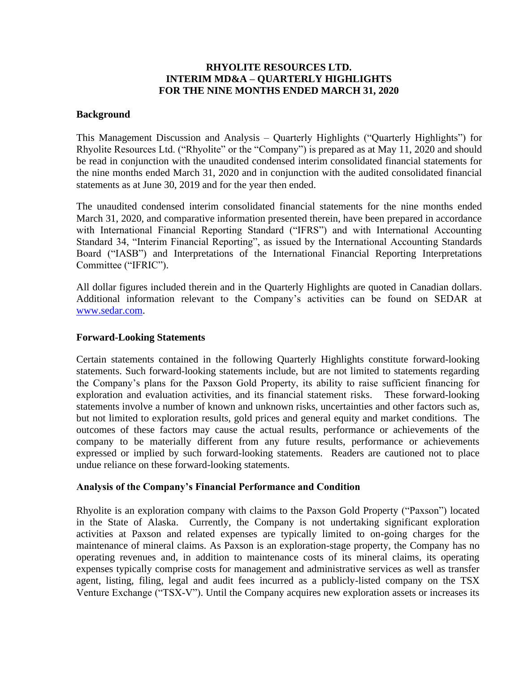# **RHYOLITE RESOURCES LTD. INTERIM MD&A – QUARTERLY HIGHLIGHTS FOR THE NINE MONTHS ENDED MARCH 31, 2020**

### **Background**

This Management Discussion and Analysis – Quarterly Highlights ("Quarterly Highlights") for Rhyolite Resources Ltd. ("Rhyolite" or the "Company") is prepared as at May 11, 2020 and should be read in conjunction with the unaudited condensed interim consolidated financial statements for the nine months ended March 31, 2020 and in conjunction with the audited consolidated financial statements as at June 30, 2019 and for the year then ended.

The unaudited condensed interim consolidated financial statements for the nine months ended March 31, 2020, and comparative information presented therein, have been prepared in accordance with International Financial Reporting Standard ("IFRS") and with International Accounting Standard 34, "Interim Financial Reporting", as issued by the International Accounting Standards Board ("IASB") and Interpretations of the International Financial Reporting Interpretations Committee ("IFRIC").

All dollar figures included therein and in the Quarterly Highlights are quoted in Canadian dollars. Additional information relevant to the Company's activities can be found on SEDAR at [www.sedar.com.](http://www.sedar.com/)

#### **Forward-Looking Statements**

Certain statements contained in the following Quarterly Highlights constitute forward-looking statements. Such forward-looking statements include, but are not limited to statements regarding the Company's plans for the Paxson Gold Property, its ability to raise sufficient financing for exploration and evaluation activities, and its financial statement risks. These forward-looking statements involve a number of known and unknown risks, uncertainties and other factors such as, but not limited to exploration results, gold prices and general equity and market conditions. The outcomes of these factors may cause the actual results, performance or achievements of the company to be materially different from any future results, performance or achievements expressed or implied by such forward-looking statements. Readers are cautioned not to place undue reliance on these forward-looking statements.

### **Analysis of the Company's Financial Performance and Condition**

Rhyolite is an exploration company with claims to the Paxson Gold Property ("Paxson") located in the State of Alaska. Currently, the Company is not undertaking significant exploration activities at Paxson and related expenses are typically limited to on-going charges for the maintenance of mineral claims. As Paxson is an exploration-stage property, the Company has no operating revenues and, in addition to maintenance costs of its mineral claims, its operating expenses typically comprise costs for management and administrative services as well as transfer agent, listing, filing, legal and audit fees incurred as a publicly-listed company on the TSX Venture Exchange ("TSX-V"). Until the Company acquires new exploration assets or increases its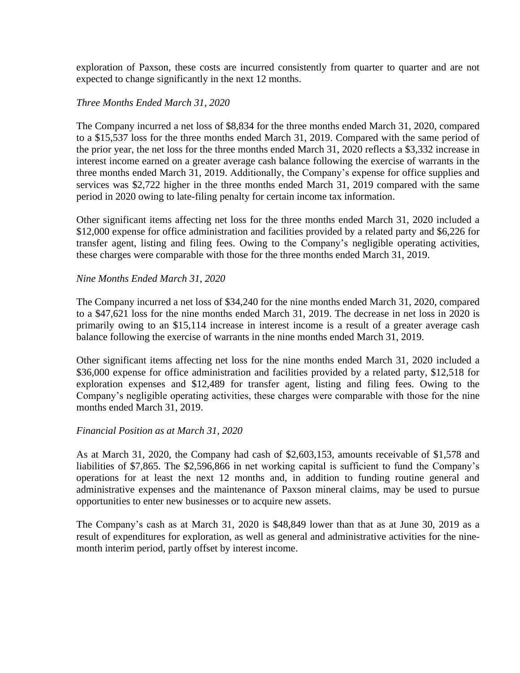exploration of Paxson, these costs are incurred consistently from quarter to quarter and are not expected to change significantly in the next 12 months.

# *Three Months Ended March 31, 2020*

The Company incurred a net loss of \$8,834 for the three months ended March 31, 2020, compared to a \$15,537 loss for the three months ended March 31, 2019. Compared with the same period of the prior year, the net loss for the three months ended March 31, 2020 reflects a \$3,332 increase in interest income earned on a greater average cash balance following the exercise of warrants in the three months ended March 31, 2019. Additionally, the Company's expense for office supplies and services was \$2,722 higher in the three months ended March 31, 2019 compared with the same period in 2020 owing to late-filing penalty for certain income tax information.

Other significant items affecting net loss for the three months ended March 31, 2020 included a \$12,000 expense for office administration and facilities provided by a related party and \$6,226 for transfer agent, listing and filing fees. Owing to the Company's negligible operating activities, these charges were comparable with those for the three months ended March 31, 2019.

# *Nine Months Ended March 31, 2020*

The Company incurred a net loss of \$34,240 for the nine months ended March 31, 2020, compared to a \$47,621 loss for the nine months ended March 31, 2019. The decrease in net loss in 2020 is primarily owing to an \$15,114 increase in interest income is a result of a greater average cash balance following the exercise of warrants in the nine months ended March 31, 2019.

Other significant items affecting net loss for the nine months ended March 31, 2020 included a \$36,000 expense for office administration and facilities provided by a related party, \$12,518 for exploration expenses and \$12,489 for transfer agent, listing and filing fees. Owing to the Company's negligible operating activities, these charges were comparable with those for the nine months ended March 31, 2019.

### *Financial Position as at March 31, 2020*

As at March 31, 2020, the Company had cash of \$2,603,153, amounts receivable of \$1,578 and liabilities of \$7,865. The \$2,596,866 in net working capital is sufficient to fund the Company's operations for at least the next 12 months and, in addition to funding routine general and administrative expenses and the maintenance of Paxson mineral claims, may be used to pursue opportunities to enter new businesses or to acquire new assets.

The Company's cash as at March 31, 2020 is \$48,849 lower than that as at June 30, 2019 as a result of expenditures for exploration, as well as general and administrative activities for the ninemonth interim period, partly offset by interest income.